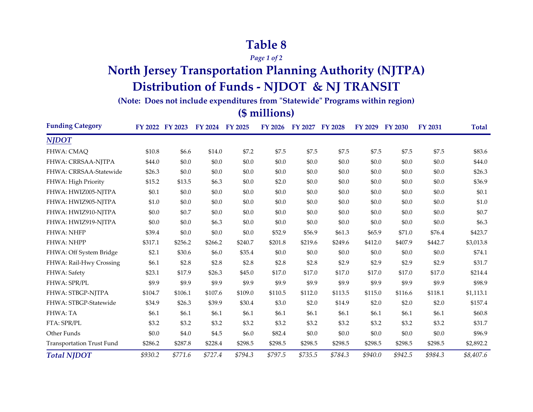### **Table 8**

*Page 1 of 2*

## **North Jersey Transportation Planning Authority (NJTPA) Distribution of Funds - NJDOT & NJ TRANSIT**

**(Note: Does not include expenditures from "Statewide" Programs within region)**

#### **(\$ millions)**

| <b>Funding Category</b>          |         | FY 2022 FY 2023 | FY 2024 FY 2025 |         | <b>FY 2026</b> | <b>FY 2027</b> | <b>FY 2028</b> | FY 2029 | <b>FY 2030</b> | <b>FY 2031</b> | <b>Total</b> |
|----------------------------------|---------|-----------------|-----------------|---------|----------------|----------------|----------------|---------|----------------|----------------|--------------|
| <b>NJDOT</b>                     |         |                 |                 |         |                |                |                |         |                |                |              |
| FHWA: CMAO                       | \$10.8  | \$6.6           | \$14.0          | \$7.2   | \$7.5          | \$7.5          | \$7.5          | \$7.5   | \$7.5          | \$7.5          | \$83.6       |
| FHWA: CRRSAA-NJTPA               | \$44.0  | \$0.0           | \$0.0           | \$0.0   | \$0.0          | \$0.0          | \$0.0          | \$0.0   | \$0.0          | \$0.0          | \$44.0       |
| FHWA: CRRSAA-Statewide           | \$26.3  | \$0.0           | \$0.0           | \$0.0   | \$0.0          | \$0.0          | \$0.0          | \$0.0   | \$0.0          | \$0.0          | \$26.3       |
| FHWA: High Priority              | \$15.2  | \$13.5          | \$6.3           | \$0.0   | \$2.0          | \$0.0          | \$0.0          | \$0.0   | \$0.0          | \$0.0          | \$36.9       |
| FHWA: HWIZ005-NJTPA              | \$0.1   | \$0.0           | \$0.0           | \$0.0   | \$0.0          | \$0.0          | \$0.0          | \$0.0   | \$0.0          | \$0.0          | \$0.1        |
| FHWA: HWIZ905-NJTPA              | \$1.0   | \$0.0           | \$0.0           | \$0.0   | \$0.0          | \$0.0          | \$0.0          | \$0.0   | \$0.0          | \$0.0          | \$1.0        |
| FHWA: HWIZ910-NJTPA              | \$0.0   | \$0.7           | \$0.0           | \$0.0   | \$0.0          | \$0.0          | \$0.0          | \$0.0   | \$0.0          | \$0.0          | \$0.7        |
| FHWA: HWIZ919-NJTPA              | \$0.0   | \$0.0           | \$6.3           | \$0.0   | \$0.0          | \$0.0          | \$0.0          | \$0.0   | \$0.0          | \$0.0          | \$6.3\$      |
| <b>FHWA: NHFP</b>                | \$39.4  | \$0.0           | \$0.0           | \$0.0   | \$52.9         | \$56.9         | \$61.3         | \$65.9  | \$71.0         | \$76.4         | \$423.7      |
| FHWA: NHPP                       | \$317.1 | \$256.2         | \$266.2         | \$240.7 | \$201.8        | \$219.6        | \$249.6        | \$412.0 | \$407.9        | \$442.7        | \$3,013.8    |
| FHWA: Off System Bridge          | \$2.1   | \$30.6          | \$6.0           | \$35.4  | \$0.0          | \$0.0          | \$0.0          | \$0.0   | \$0.0          | \$0.0          | \$74.1       |
| FHWA: Rail-Hwy Crossing          | \$6.1   | \$2.8           | \$2.8           | \$2.8   | \$2.8          | \$2.8          | \$2.9          | \$2.9   | \$2.9          | \$2.9          | \$31.7       |
| FHWA: Safety                     | \$23.1  | \$17.9          | \$26.3          | \$45.0  | \$17.0         | \$17.0         | \$17.0         | \$17.0  | \$17.0         | \$17.0         | \$214.4      |
| FHWA: SPR/PL                     | \$9.9   | \$9.9           | \$9.9           | \$9.9   | \$9.9          | \$9.9          | \$9.9          | \$9.9   | \$9.9          | \$9.9          | \$98.9       |
| FHWA: STBGP-NJTPA                | \$104.7 | \$106.1         | \$107.6         | \$109.0 | \$110.5        | \$112.0        | \$113.5        | \$115.0 | \$116.6        | \$118.1        | \$1,113.1    |
| FHWA: STBGP-Statewide            | \$34.9  | \$26.3          | \$39.9          | \$30.4  | \$3.0          | \$2.0          | \$14.9         | \$2.0   | \$2.0          | \$2.0          | \$157.4      |
| FHWA: TA                         | \$6.1   | \$6.1           | \$6.1           | \$6.1   | \$6.1          | \$6.1          | \$6.1          | \$6.1   | \$6.1          | \$6.1          | \$60.8       |
| FTA: SPR/PL                      | \$3.2   | \$3.2           | \$3.2           | \$3.2   | \$3.2          | \$3.2          | \$3.2          | \$3.2   | \$3.2          | \$3.2          | \$31.7       |
| Other Funds                      | \$0.0   | \$4.0           | \$4.5           | \$6.0   | \$82.4         | \$0.0          | \$0.0          | \$0.0   | \$0.0          | \$0.0          | \$96.9       |
| <b>Transportation Trust Fund</b> | \$286.2 | \$287.8         | \$228.4         | \$298.5 | \$298.5        | \$298.5        | \$298.5        | \$298.5 | \$298.5        | \$298.5        | \$2,892.2    |
| <b>Total NJDOT</b>               | \$930.2 | \$771.6         | \$727.4         | \$794.3 | \$797.5        | \$735.5        | \$784.3        | \$940.0 | \$942.5        | \$984.3        | \$8,407.6    |